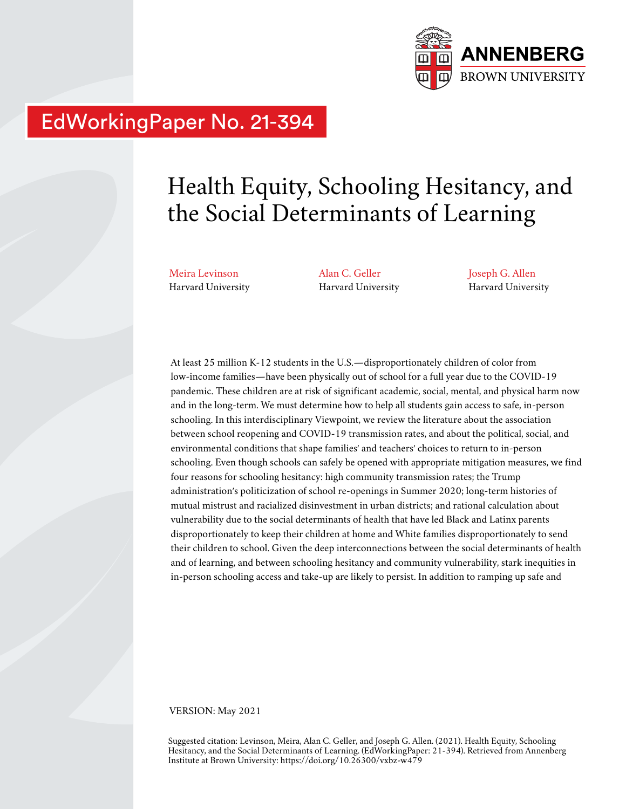

## EdWorkingPaper No. 21-394

# Health Equity, Schooling Hesitancy, and the Social Determinants of Learning

Meira Levinson Harvard University Alan C. Geller Harvard University Joseph G. Allen Harvard University

At least 25 million K-12 students in the U.S.—disproportionately children of color from low-income families—have been physically out of school for a full year due to the COVID-19 pandemic. These children are at risk of significant academic, social, mental, and physical harm now and in the long-term. We must determine how to help all students gain access to safe, in-person schooling. In this interdisciplinary Viewpoint, we review the literature about the association between school reopening and COVID-19 transmission rates, and about the political, social, and environmental conditions that shape families' and teachers' choices to return to in-person schooling. Even though schools can safely be opened with appropriate mitigation measures, we find four reasons for schooling hesitancy: high community transmission rates; the Trump administration's politicization of school re-openings in Summer 2020; long-term histories of mutual mistrust and racialized disinvestment in urban districts; and rational calculation about vulnerability due to the social determinants of health that have led Black and Latinx parents disproportionately to keep their children at home and White families disproportionately to send their children to school. Given the deep interconnections between the social determinants of health and of learning, and between schooling hesitancy and community vulnerability, stark inequities in in-person schooling access and take-up are likely to persist. In addition to ramping up safe and

VERSION: May 2021

Suggested citation: Levinson, Meira, Alan C. Geller, and Joseph G. Allen. (2021). Health Equity, Schooling Hesitancy, and the Social Determinants of Learning. (EdWorkingPaper: 21-394). Retrieved from Annenberg Institute at Brown University: https://doi.org/10.26300/vxbz-w479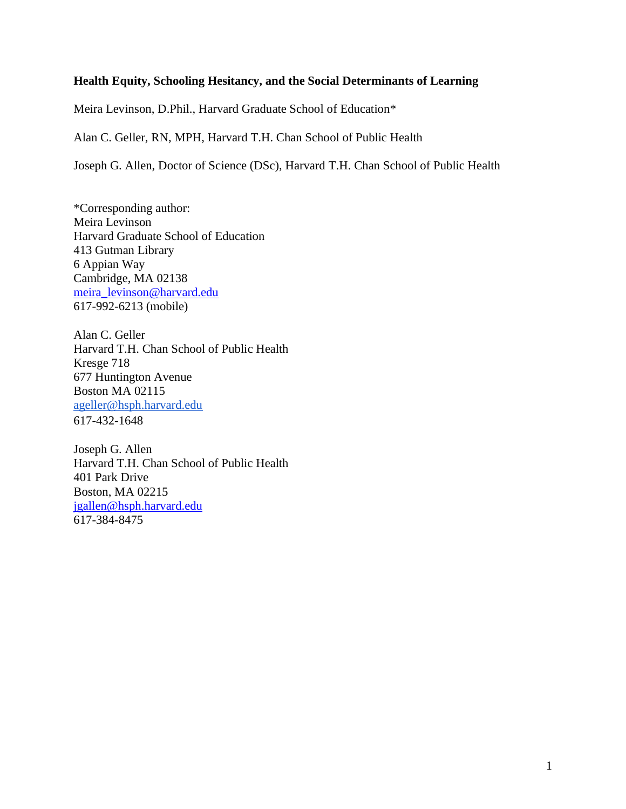#### **Health Equity, Schooling Hesitancy, and the Social Determinants of Learning**

Meira Levinson, D.Phil., Harvard Graduate School of Education\*

Alan C. Geller, RN, MPH, Harvard T.H. Chan School of Public Health

Joseph G. Allen, Doctor of Science (DSc), Harvard T.H. Chan School of Public Health

\*Corresponding author: Meira Levinson Harvard Graduate School of Education 413 Gutman Library 6 Appian Way Cambridge, MA 02138 [meira\\_levinson@harvard.edu](mailto:meira_levinson@harvard.edu) 617-992-6213 (mobile)

Alan C. Geller Harvard T.H. Chan School of Public Health Kresge 718 677 Huntington Avenue Boston MA 02115 [ageller@hsph.harvard.edu](mailto:ageller@hsph.harvard.edu) 617-432-1648

Joseph G. Allen Harvard T.H. Chan School of Public Health 401 Park Drive Boston, MA 02215 [jgallen@hsph.harvard.edu](mailto:jgallen@hsph.harvard.edu) 617-384-8475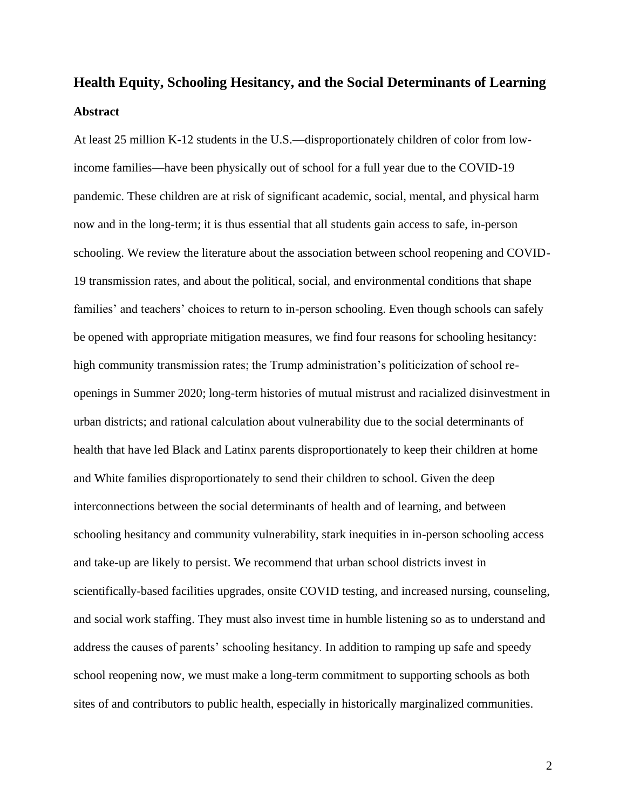## **Health Equity, Schooling Hesitancy, and the Social Determinants of Learning Abstract**

At least 25 million K-12 students in the U.S.—disproportionately children of color from lowincome families—have been physically out of school for a full year due to the COVID-19 pandemic. These children are at risk of significant academic, social, mental, and physical harm now and in the long-term; it is thus essential that all students gain access to safe, in-person schooling. We review the literature about the association between school reopening and COVID-19 transmission rates, and about the political, social, and environmental conditions that shape families' and teachers' choices to return to in-person schooling. Even though schools can safely be opened with appropriate mitigation measures, we find four reasons for schooling hesitancy: high community transmission rates; the Trump administration's politicization of school reopenings in Summer 2020; long-term histories of mutual mistrust and racialized disinvestment in urban districts; and rational calculation about vulnerability due to the social determinants of health that have led Black and Latinx parents disproportionately to keep their children at home and White families disproportionately to send their children to school. Given the deep interconnections between the social determinants of health and of learning, and between schooling hesitancy and community vulnerability, stark inequities in in-person schooling access and take-up are likely to persist. We recommend that urban school districts invest in scientifically-based facilities upgrades, onsite COVID testing, and increased nursing, counseling, and social work staffing. They must also invest time in humble listening so as to understand and address the causes of parents' schooling hesitancy. In addition to ramping up safe and speedy school reopening now, we must make a long-term commitment to supporting schools as both sites of and contributors to public health, especially in historically marginalized communities.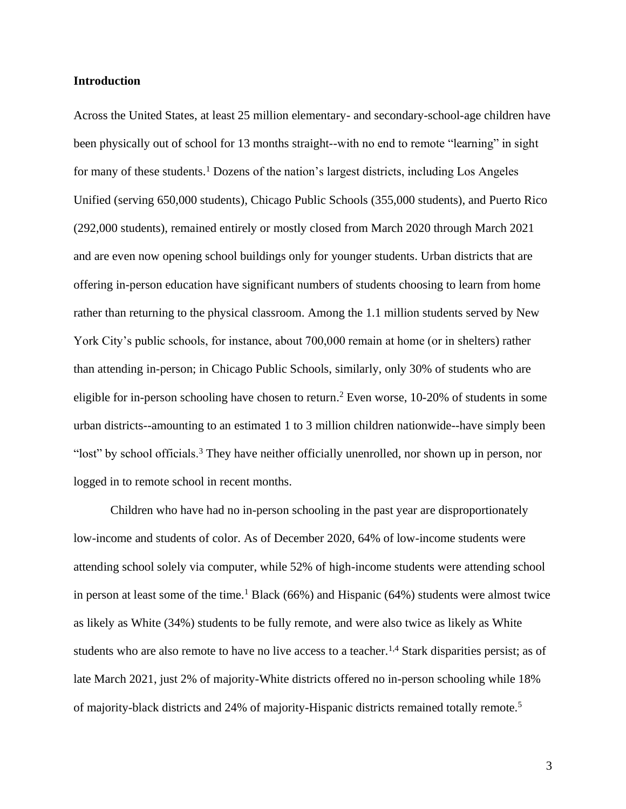#### **Introduction**

Across the United States, at least 25 million elementary- and secondary-school-age children have been physically out of school for 13 months straight--with no end to remote "learning" in sight for many of these students.<sup>1</sup> Dozens of the nation's largest districts, including Los Angeles Unified (serving 650,000 students), Chicago Public Schools (355,000 students), and Puerto Rico (292,000 students), remained entirely or mostly closed from March 2020 through March 2021 and are even now opening school buildings only for younger students. Urban districts that are offering in-person education have significant numbers of students choosing to learn from home rather than returning to the physical classroom. Among the 1.1 million students served by New York City's public schools, for instance, about 700,000 remain at home (or in shelters) rather than attending in-person; in Chicago Public Schools, similarly, only 30% of students who are eligible for in-person schooling have chosen to return. <sup>2</sup> Even worse, 10-20% of students in some urban districts--amounting to an estimated [1 to 3 million children nationwide-](https://bellwethereducation.org/publication/missing-margins-estimating-scale-covid-19-attendance-crisis)-have simply been "lost" by school officials.<sup>3</sup> They have neither officially unenrolled, nor shown up in person, nor logged in to remote school in recent months.

Children who have had no in-person schooling in the past year are disproportionately low-income and students of color. As of December 2020, 64% of low-income students were attending school solely via computer, while 52% of high-income students were attending school in person at least some of the time.<sup>1</sup> Black (66%) and Hispanic (64%) students were almost twice as likely as White (34%) students to be fully remote, and were also twice as likely as White students who are also remote to have no live access to a teacher.<sup>1,4</sup> Stark disparities persist; as of late March 2021, just 2% of majority-White districts offered no in-person schooling while 18% of majority-black districts and 24% of majority-Hispanic districts remained totally remote.5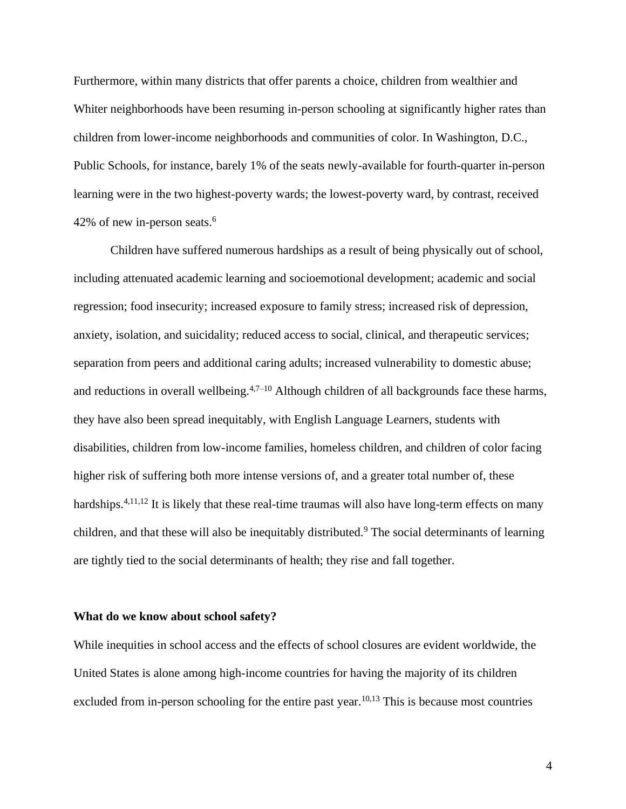Furthermore, within many districts that offer parents a choice, children from wealthier and Whiter neighborhoods have been resuming in-person schooling at significantly higher rates than children from lower-income neighborhoods and communities of color. In Washington, D.C., Public Schools, for instance, barely 1% of the seats newly-available for fourth-quarter in-person learning were in the two highest-poverty wards; the lowest-poverty ward, by contrast, received 42% of new in-person seats.<sup>6</sup>

Children have suffered numerous hardships as a result of being physically out of school, including attenuated academic learning and socioemotional development; academic and social regression; food insecurity; increased exposure to family stress; increased risk of depression, anxiety, isolation, and suicidality; reduced access to social, clinical, and therapeutic services; separation from peers and additional caring adults; increased vulnerability to domestic abuse; and reductions in overall wellbeing.<sup>4,7–10</sup> Although children of all backgrounds face these harms, they have also been spread inequitably, with English Language Learners, students with disabilities, children from low-income families, homeless children, and children of color facing higher risk of suffering both more intense versions of, and a greater total number of, these hardships.<sup>4,11,12</sup> It is likely that these real-time traumas will also have long-term effects on many children, and that these will also be inequitably distributed.<sup>9</sup> The social determinants of learning are tightly tied to the social determinants of health; they rise and fall together.

#### **What do we know about school safety?**

While inequities in school access and the effects of school closures are evident worldwide, the United States is alone among [high-income](https://datahelpdesk.worldbank.org/knowledgebase/articles/906519-world-bank-country-and-lending-groups) countries for having the majority of its children excluded from in-person schooling for the entire past year.<sup>10,13</sup> This is because most countries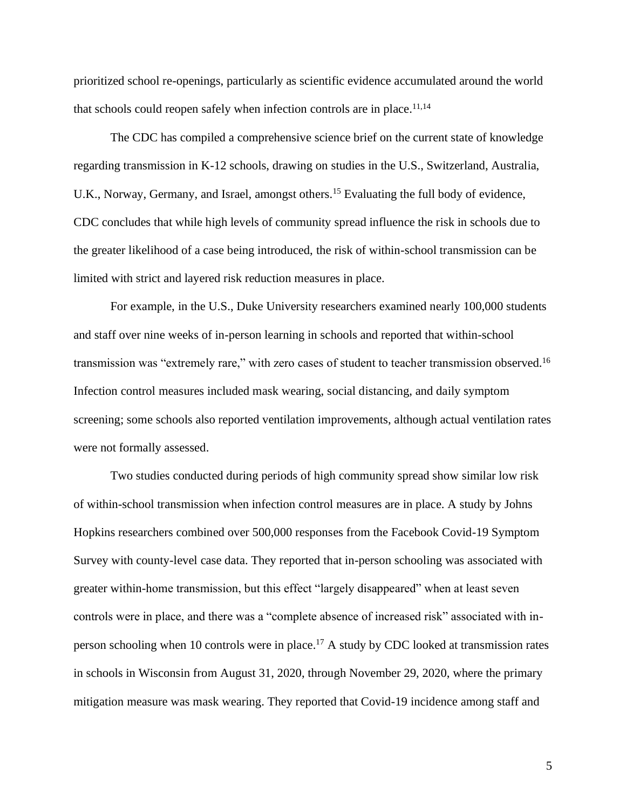prioritized school re-openings, particularly as scientific evidence accumulated around the world that schools could reopen safely when infection controls are in place.<sup>11,14</sup>

The CDC has compiled a comprehensive science brief on the current state of knowledge regarding transmission in K-12 schools, drawing on studies in the U.S., Switzerland, Australia, U.K., Norway, Germany, and Israel, amongst others.<sup>15</sup> Evaluating the full body of evidence, CDC concludes that while high levels of community spread influence the risk in schools due to the greater likelihood of a case being introduced, the risk of within-school transmission can be limited with strict and layered risk reduction measures in place.

For example, in the U.S., Duke University researchers examined nearly 100,000 students and staff over nine weeks of in-person learning in schools and reported that within-school transmission was "extremely rare," with zero cases of student to teacher transmission observed.<sup>16</sup> Infection control measures included mask wearing, social distancing, and daily symptom screening; some schools also reported ventilation improvements, although actual ventilation rates were not formally assessed.

Two studies conducted during periods of high community spread show similar low risk of within-school transmission when infection control measures are in place. A study by Johns Hopkins researchers combined over 500,000 responses from the Facebook Covid-19 Symptom Survey with county-level case data. They reported that in-person schooling was associated with greater within-home transmission, but this effect "largely disappeared" when at least seven controls were in place, and there was a "complete absence of increased risk" associated with inperson schooling when 10 controls were in place.<sup>17</sup> A study by CDC looked at transmission rates in schools in Wisconsin from August 31, 2020, through November 29, 2020, where the primary mitigation measure was mask wearing. They reported that Covid-19 incidence among staff and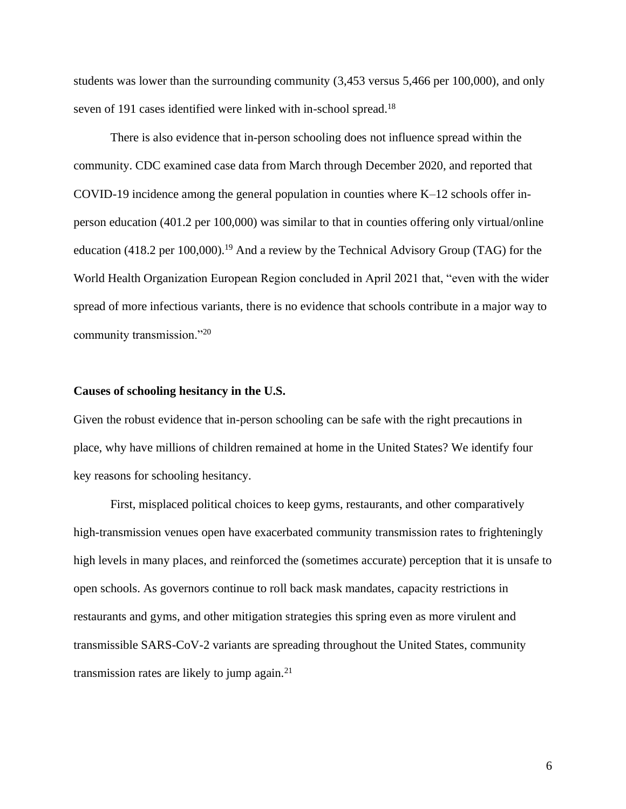students was lower than the surrounding community (3,453 versus 5,466 per 100,000), and only seven of 191 cases identified were linked with in-school spread.<sup>18</sup>

There is also evidence that in-person schooling does not influence spread within the community. CDC examined case data from March through December 2020, and reported that COVID-19 incidence among the general population in counties where K–12 schools offer inperson education (401.2 per 100,000) was similar to that in counties offering only virtual/online education (418.2 per 100,000).<sup>19</sup> And a review by the Technical Advisory Group (TAG) for the World Health Organization European Region concluded in April 2021 that, "even with the wider spread of more infectious variants, there is no evidence that schools contribute in a major way to community transmission."<sup>20</sup>

#### **Causes of schooling hesitancy in the U.S.**

Given the robust evidence that in-person schooling can be safe with the right precautions in place, why have millions of children remained at home in the United States? We identify four key reasons for schooling hesitancy.

First, misplaced political choices to keep gyms, restaurants, and other comparatively high-transmission venues open have exacerbated community transmission rates to frighteningly high levels in many places, and reinforced the (sometimes accurate) perception that it is unsafe to open schools. As governors continue to roll back mask mandates, capacity restrictions in restaurants and gyms, and other mitigation strategies this spring even as more virulent and transmissible SARS-CoV-2 variants are spreading throughout the United States, community transmission rates are likely to jump again. $21$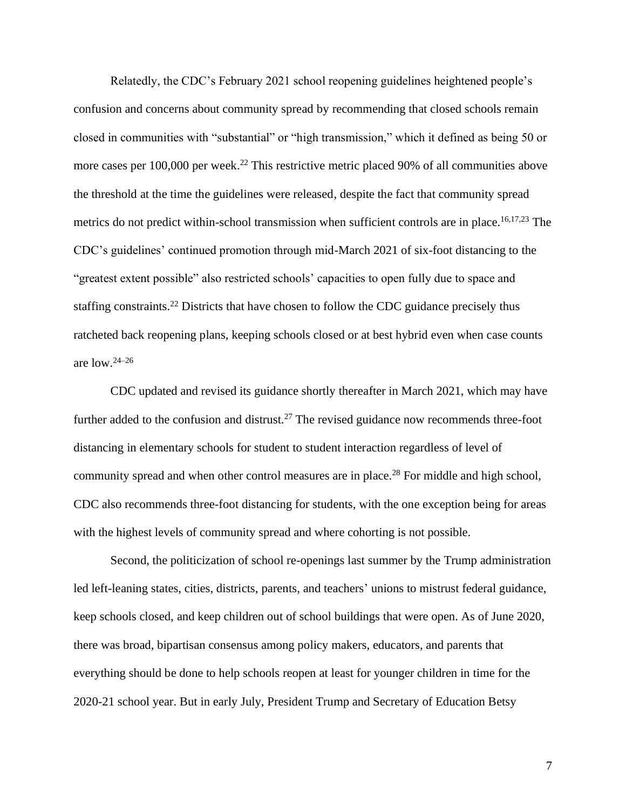Relatedly, the CDC's February 2021 school reopening guidelines heightened people's confusion and concerns about community spread by recommending that closed schools remain closed in communities with "substantial" or "high transmission," which it defined as being 50 or more cases per 100,000 per week.<sup>22</sup> This restrictive metric placed 90% of all communities above the threshold at the time the guidelines were released, despite the fact that community spread metrics do not predict within-school transmission when sufficient controls are in place.<sup>16,17,23</sup> The CDC's guidelines' continued promotion through mid-March 2021 of six-foot distancing to the "greatest extent possible" also restricted schools' capacities to open fully due to space and staffing constraints.<sup>22</sup> Districts that have chosen to follow the CDC guidance precisely thus ratcheted back reopening plans, keeping schools closed or at best hybrid even when case counts are low. 24–26

CDC updated and revised its guidance shortly thereafter in March 2021, which may have further added to the confusion and distrust.<sup>27</sup> The revised guidance now recommends three-foot distancing in elementary schools for student to student interaction regardless of level of community spread and when other control measures are in place.<sup>28</sup> For middle and high school, CDC also recommends three-foot distancing for students, with the one exception being for areas with the highest levels of community spread and where cohorting is not possible.

Second, the politicization of school re-openings last summer by the Trump administration led left-leaning states, cities, districts, parents, and teachers' unions to mistrust federal guidance, keep schools closed, and keep children out of school buildings that were open. As of June 2020, there was broad, bipartisan consensus among policy makers, educators, and parents that everything should be done to help schools reopen at least for younger children in time for the 2020-21 school year. But in early July, President Trump and Secretary of Education Betsy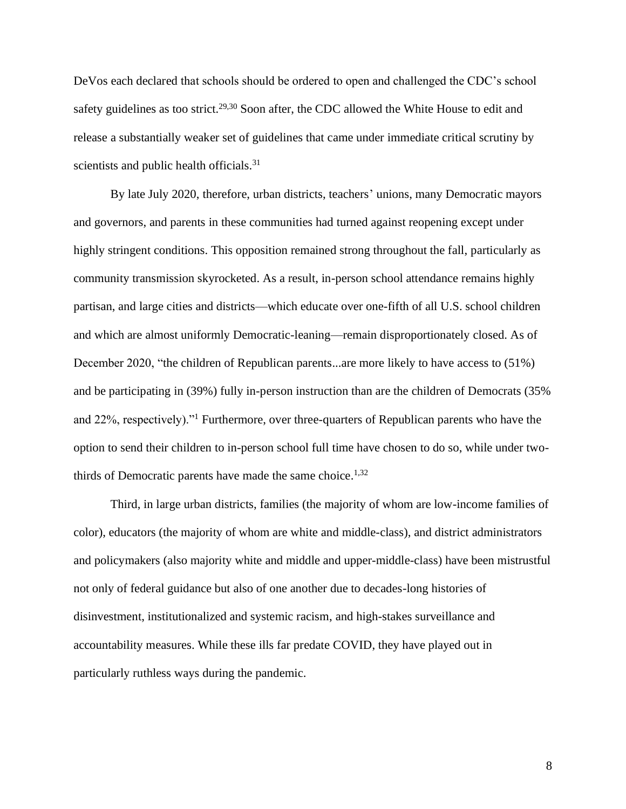DeVos each declared that schools should be ordered to open and challenged the CDC's school safety guidelines as too strict.<sup>29,30</sup> Soon after, the CDC allowed the White House to edit and release a substantially weaker set of guidelines that came under immediate critical scrutiny by scientists and public health officials.<sup>31</sup>

By late July 2020, therefore, urban districts, teachers' unions, many Democratic mayors and governors, and parents in these communities had turned against reopening except under highly stringent conditions. This opposition remained strong throughout the fall, particularly as community transmission skyrocketed. As a result, in-person school attendance remains highly partisan, and large cities and districts—which educate over one-fifth of all U.S. school children and which are almost uniformly Democratic-leaning—remain disproportionately closed. As of December 2020, "the children of Republican parents...are more likely to have access to (51%) and be participating in (39%) fully in-person instruction than are the children of Democrats (35% and 22%, respectively)."<sup>1</sup> Furthermore, over three-quarters of Republican parents who have the option to send their children to in-person school full time have chosen to do so, while under twothirds of Democratic parents have made the same choice.<sup>1,32</sup>

Third, in large urban districts, families (the majority of whom are low-income families of color), educators (the majority of whom are white and middle-class), and district administrators and policymakers (also majority white and middle and upper-middle-class) have been mistrustful not only of federal guidance but also of one another due to decades-long histories of disinvestment, institutionalized and systemic racism, and high-stakes surveillance and accountability measures. While these ills far predate COVID, they have played out in particularly ruthless ways during the pandemic.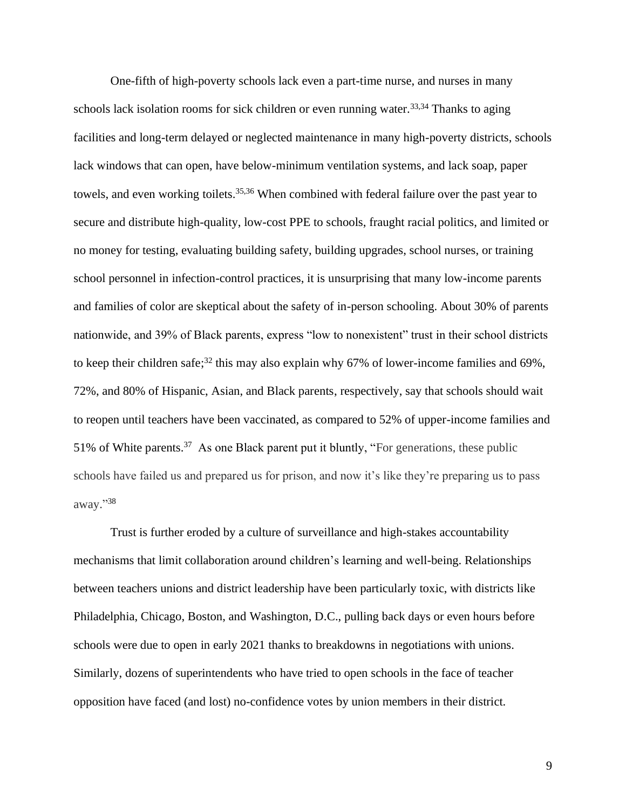One-fifth of high-poverty schools lack even a part-time nurse, and nurses in many schools lack isolation rooms for sick children or even running water.<sup>33,34</sup> Thanks to aging facilities and long-term delayed or neglected maintenance in many high-poverty districts, schools lack windows that can open, have below-minimum ventilation systems, and lack soap, paper towels, and even working toilets.<sup>35,36</sup> When combined with federal failure over the past year to secure and distribute high-quality, low-cost PPE to schools, fraught racial politics, and limited or no money for testing, evaluating building safety, building upgrades, school nurses, or training school personnel in infection-control practices, it is unsurprising that many low-income parents and families of color are skeptical about the safety of in-person schooling. About 30% of parents nationwide, and 39% of Black parents, express "low to nonexistent" trust in their school districts to keep their children safe;<sup>32</sup> this may also explain why 67% of lower-income families and 69%, 72%, and 80% of Hispanic, Asian, and Black parents, respectively, say that schools should wait to reopen until teachers have been vaccinated, as compared to 52% of upper-income families and 51% of White parents.<sup>37</sup> As one Black parent put it bluntly, "For generations, these public schools have failed us and prepared us for prison, and now it's like they're preparing us to pass away." 38

Trust is further eroded by a culture of surveillance and high-stakes accountability mechanisms that limit collaboration around children's learning and well-being. Relationships between teachers unions and district leadership have been particularly toxic, with districts like Philadelphia, Chicago, Boston, and Washington, D.C., pulling back days or even hours before schools were due to open in early 2021 thanks to breakdowns in negotiations with unions. Similarly, dozens of superintendents who have tried to open schools in the face of teacher opposition have faced (and lost) no-confidence votes by union members in their district.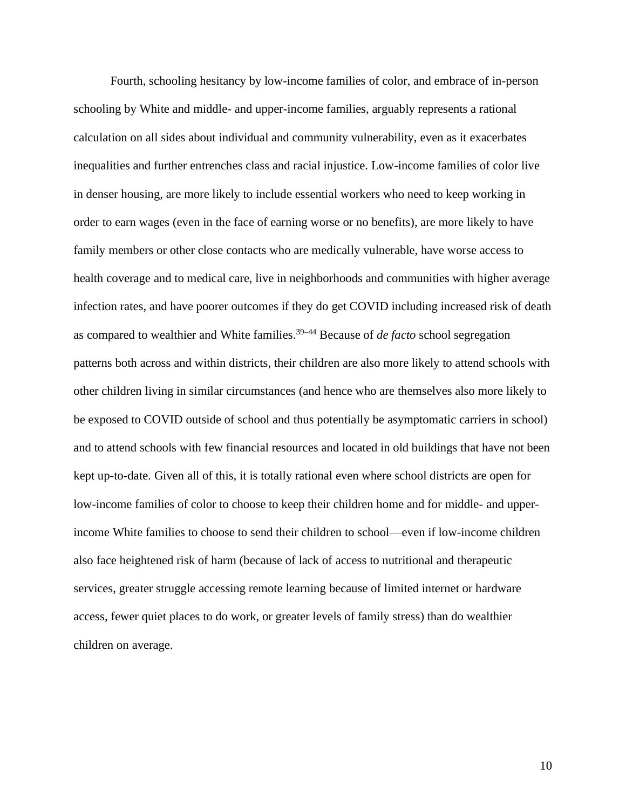Fourth, schooling hesitancy by low-income families of color, and embrace of in-person schooling by White and middle- and upper-income families, arguably represents a rational calculation on all sides about individual and community vulnerability, even as it exacerbates inequalities and further entrenches class and racial injustice. Low-income families of color live in denser housing, are more likely to include essential workers who need to keep working in order to earn wages (even in the face of earning worse or no benefits), are more likely to have family members or other close contacts who are medically vulnerable, have worse access to health coverage and to medical care, live in neighborhoods and communities with higher average infection rates, and have poorer outcomes if they do get COVID including increased risk of death as compared to wealthier and White families. 39–44 Because of *de facto* school segregation patterns both across and within districts, their children are also more likely to attend schools with other children living in similar circumstances (and hence who are themselves also more likely to be exposed to COVID outside of school and thus potentially be asymptomatic carriers in school) and to attend schools with few financial resources and located in old buildings that have not been kept up-to-date. Given all of this, it is totally rational even where school districts are open for low-income families of color to choose to keep their children home and for middle- and upperincome White families to choose to send their children to school—even if low-income children also face heightened risk of harm (because of lack of access to nutritional and therapeutic services, greater struggle accessing remote learning because of limited internet or hardware access, fewer quiet places to do work, or greater levels of family stress) than do wealthier children on average.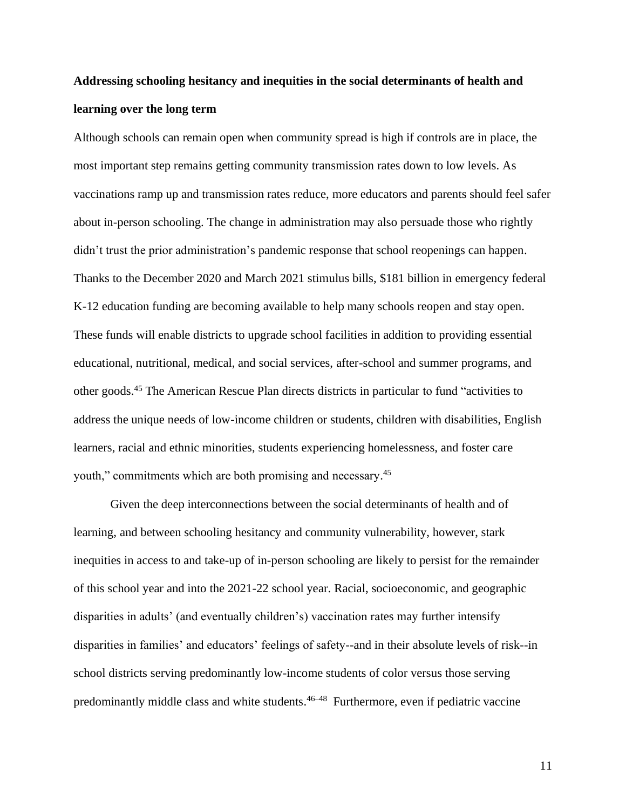### **Addressing schooling hesitancy and inequities in the social determinants of health and learning over the long term**

Although schools can remain open when community spread is high if controls are in place, the most important step remains getting community transmission rates down to low levels. As vaccinations ramp up and transmission rates reduce, more educators and parents should feel safer about in-person schooling. The change in administration may also persuade those who rightly didn't trust the prior administration's pandemic response that school reopenings can happen. Thanks to the December 2020 and March 2021 stimulus bills, \$181 billion in emergency federal K-12 education funding are becoming available to help many schools reopen and stay open. These funds will enable districts to upgrade school facilities in addition to providing essential educational, nutritional, medical, and social services, after-school and summer programs, and other goods.<sup>45</sup> The American Rescue Plan directs districts in particular to fund "activities to address the unique needs of low-income children or students, children with disabilities, English learners, racial and ethnic minorities, students experiencing homelessness, and foster care youth," commitments which are both promising and necessary.<sup>45</sup>

Given the deep interconnections between the social determinants of health and of learning, and between schooling hesitancy and community vulnerability, however, stark inequities in access to and take-up of in-person schooling are likely to persist for the remainder of this school year and into the 2021-22 school year. Racial, socioeconomic, and geographic disparities in adults' (and eventually children's) vaccination rates may further intensify disparities in families' and educators' feelings of safety--and in their absolute levels of risk--in school districts serving predominantly low-income students of color versus those serving predominantly middle class and white students. 46–48 Furthermore, even if pediatric vaccine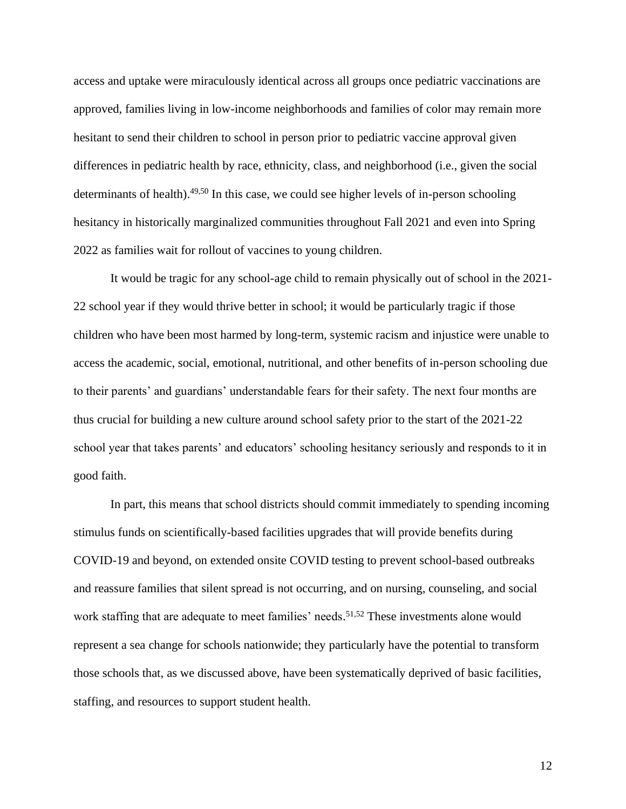access and uptake were miraculously identical across all groups once pediatric vaccinations are approved, families living in low-income neighborhoods and families of color may remain more hesitant to send their children to school in person prior to pediatric vaccine approval given differences in pediatric health by race, ethnicity, class, and neighborhood (i.e., given the social determinants of health). $49,50$  In this case, we could see higher levels of in-person schooling hesitancy in historically marginalized communities throughout Fall 2021 and even into Spring 2022 as families wait for rollout of vaccines to young children.

It would be tragic for any school-age child to remain physically out of school in the 2021- 22 school year if they would thrive better in school; it would be particularly tragic if those children who have been most harmed by long-term, systemic racism and injustice were unable to access the academic, social, emotional, nutritional, and other benefits of in-person schooling due to their parents' and guardians' understandable fears for their safety. The next four months are thus crucial for building a new culture around school safety prior to the start of the 2021-22 school year that takes parents' and educators' schooling hesitancy seriously and responds to it in good faith.

In part, this means that school districts should commit immediately to spending incoming stimulus funds on scientifically-based facilities upgrades that will provide benefits during COVID-19 and beyond, on extended onsite COVID testing to prevent school-based outbreaks and reassure families that silent spread is not occurring, and on nursing, counseling, and social work staffing that are adequate to meet families' needs.<sup>51,52</sup> These investments alone would represent a sea change for schools nationwide; they particularly have the potential to transform those schools that, as we discussed above, have been systematically deprived of basic facilities, staffing, and resources to support student health.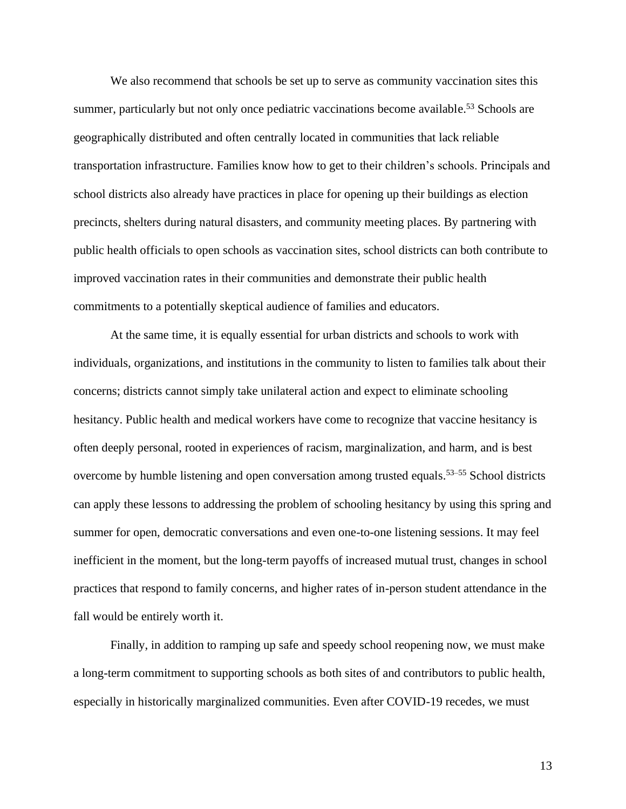We also recommend that schools be set up to serve as community vaccination sites this summer, particularly but not only once pediatric vaccinations become available.<sup>53</sup> Schools are geographically distributed and often centrally located in communities that lack reliable transportation infrastructure. Families know how to get to their children's schools. Principals and school districts also already have practices in place for opening up their buildings as election precincts, shelters during natural disasters, and community meeting places. By partnering with public health officials to open schools as vaccination sites, school districts can both contribute to improved vaccination rates in their communities and demonstrate their public health commitments to a potentially skeptical audience of families and educators.

At the same time, it is equally essential for urban districts and schools to work with individuals, organizations, and institutions in the community to listen to families talk about their concerns; districts cannot simply take unilateral action and expect to eliminate schooling hesitancy. Public health and medical workers have come to recognize that vaccine hesitancy is often deeply personal, rooted in experiences of racism, marginalization, and harm, and is best overcome by humble listening and open conversation among trusted equals. 53–55 School districts can apply these lessons to addressing the problem of schooling hesitancy by using this spring and summer for open, democratic conversations and even one-to-one listening sessions. It may feel inefficient in the moment, but the long-term payoffs of increased mutual trust, changes in school practices that respond to family concerns, and higher rates of in-person student attendance in the fall would be entirely worth it.

Finally, in addition to ramping up safe and speedy school reopening now, we must make a long-term commitment to supporting schools as both sites of and contributors to public health, especially in historically marginalized communities. Even after COVID-19 recedes, we must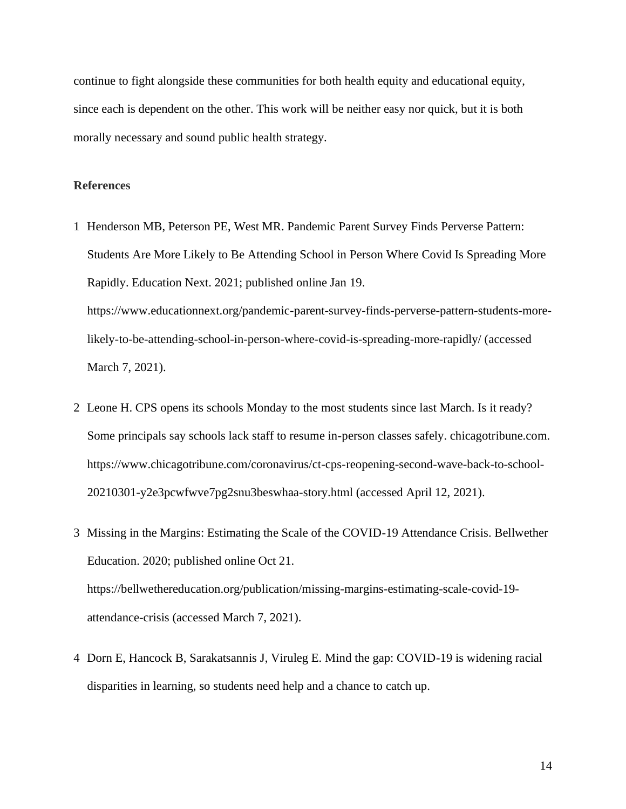continue to fight alongside these communities for both health equity and educational equity, since each is dependent on the other. This work will be neither easy nor quick, but it is both morally necessary and sound public health strategy.

#### **References**

- 1 Henderson MB, Peterson PE, West MR. Pandemic Parent Survey Finds Perverse Pattern: Students Are More Likely to Be Attending School in Person Where Covid Is Spreading More Rapidly. Education Next. 2021; published online Jan 19. https://www.educationnext.org/pandemic-parent-survey-finds-perverse-pattern-students-morelikely-to-be-attending-school-in-person-where-covid-is-spreading-more-rapidly/ (accessed March 7, 2021).
- 2 Leone H. CPS opens its schools Monday to the most students since last March. Is it ready? Some principals say schools lack staff to resume in-person classes safely. chicagotribune.com. https://www.chicagotribune.com/coronavirus/ct-cps-reopening-second-wave-back-to-school-20210301-y2e3pcwfwve7pg2snu3beswhaa-story.html (accessed April 12, 2021).
- 3 Missing in the Margins: Estimating the Scale of the COVID-19 Attendance Crisis. Bellwether Education. 2020; published online Oct 21. https://bellwethereducation.org/publication/missing-margins-estimating-scale-covid-19 attendance-crisis (accessed March 7, 2021).
- 4 Dorn E, Hancock B, Sarakatsannis J, Viruleg E. Mind the gap: COVID-19 is widening racial disparities in learning, so students need help and a chance to catch up.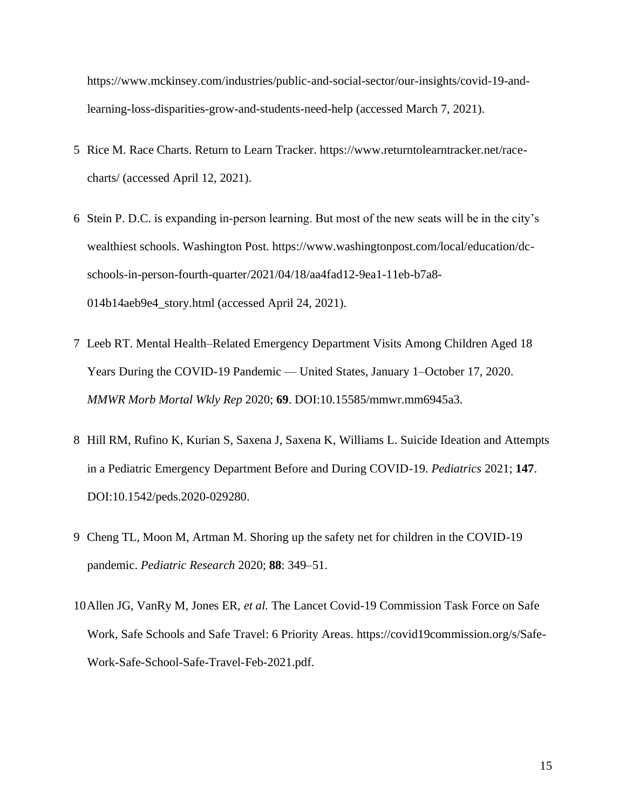https://www.mckinsey.com/industries/public-and-social-sector/our-insights/covid-19-andlearning-loss-disparities-grow-and-students-need-help (accessed March 7, 2021).

- 5 Rice M. Race Charts. Return to Learn Tracker. https://www.returntolearntracker.net/racecharts/ (accessed April 12, 2021).
- 6 Stein P. D.C. is expanding in-person learning. But most of the new seats will be in the city's wealthiest schools. Washington Post. https://www.washingtonpost.com/local/education/dcschools-in-person-fourth-quarter/2021/04/18/aa4fad12-9ea1-11eb-b7a8- 014b14aeb9e4\_story.html (accessed April 24, 2021).
- 7 Leeb RT. Mental Health–Related Emergency Department Visits Among Children Aged 18 Years During the COVID-19 Pandemic — United States, January 1–October 17, 2020. *MMWR Morb Mortal Wkly Rep* 2020; **69**. DOI:10.15585/mmwr.mm6945a3.
- 8 Hill RM, Rufino K, Kurian S, Saxena J, Saxena K, Williams L. Suicide Ideation and Attempts in a Pediatric Emergency Department Before and During COVID-19. *Pediatrics* 2021; **147**. DOI:10.1542/peds.2020-029280.
- 9 Cheng TL, Moon M, Artman M. Shoring up the safety net for children in the COVID-19 pandemic. *Pediatric Research* 2020; **88**: 349–51.
- 10Allen JG, VanRy M, Jones ER, *et al.* The Lancet Covid-19 Commission Task Force on Safe Work, Safe Schools and Safe Travel: 6 Priority Areas. https://covid19commission.org/s/Safe-Work-Safe-School-Safe-Travel-Feb-2021.pdf.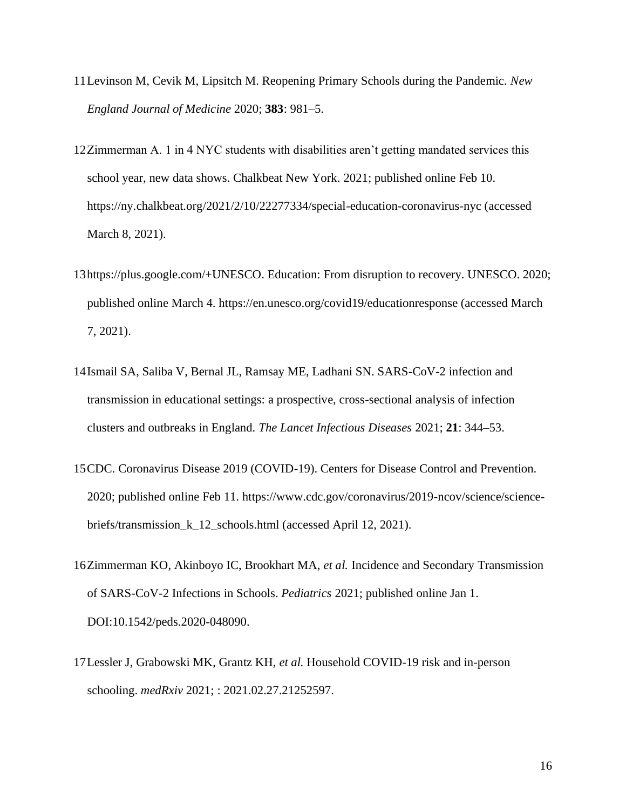- 11Levinson M, Cevik M, Lipsitch M. Reopening Primary Schools during the Pandemic. *New England Journal of Medicine* 2020; **383**: 981–5.
- 12Zimmerman A. 1 in 4 NYC students with disabilities aren't getting mandated services this school year, new data shows. Chalkbeat New York. 2021; published online Feb 10. https://ny.chalkbeat.org/2021/2/10/22277334/special-education-coronavirus-nyc (accessed March 8, 2021).
- 13https://plus.google.com/+UNESCO. Education: From disruption to recovery. UNESCO. 2020; published online March 4. https://en.unesco.org/covid19/educationresponse (accessed March 7, 2021).
- 14Ismail SA, Saliba V, Bernal JL, Ramsay ME, Ladhani SN. SARS-CoV-2 infection and transmission in educational settings: a prospective, cross-sectional analysis of infection clusters and outbreaks in England. *The Lancet Infectious Diseases* 2021; **21**: 344–53.
- 15CDC. Coronavirus Disease 2019 (COVID-19). Centers for Disease Control and Prevention. 2020; published online Feb 11. https://www.cdc.gov/coronavirus/2019-ncov/science/sciencebriefs/transmission\_k\_12\_schools.html (accessed April 12, 2021).
- 16Zimmerman KO, Akinboyo IC, Brookhart MA, *et al.* Incidence and Secondary Transmission of SARS-CoV-2 Infections in Schools. *Pediatrics* 2021; published online Jan 1. DOI:10.1542/peds.2020-048090.
- 17Lessler J, Grabowski MK, Grantz KH, *et al.* Household COVID-19 risk and in-person schooling. *medRxiv* 2021; : 2021.02.27.21252597.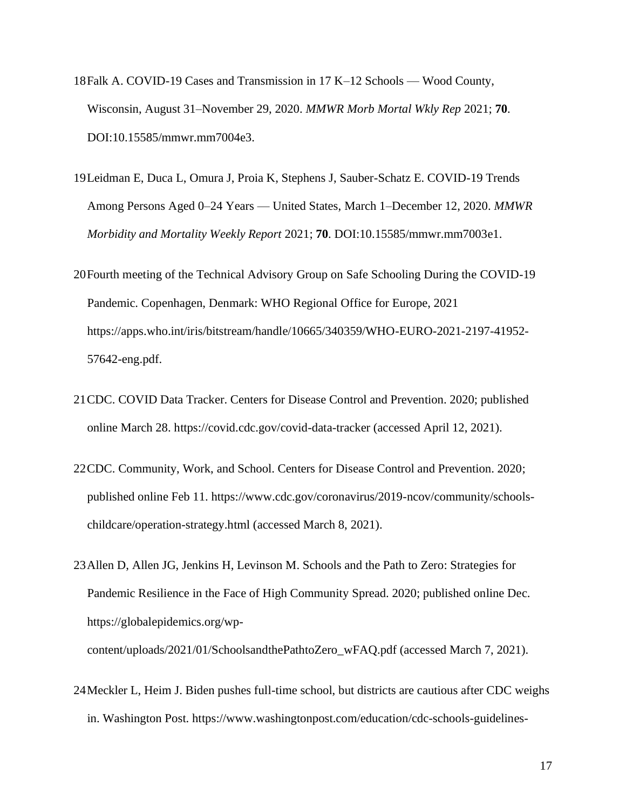- 18Falk A. COVID-19 Cases and Transmission in 17 K–12 Schools Wood County, Wisconsin, August 31–November 29, 2020. *MMWR Morb Mortal Wkly Rep* 2021; **70**. DOI:10.15585/mmwr.mm7004e3.
- 19Leidman E, Duca L, Omura J, Proia K, Stephens J, Sauber-Schatz E. COVID-19 Trends Among Persons Aged 0–24 Years — United States, March 1–December 12, 2020. *MMWR Morbidity and Mortality Weekly Report* 2021; **70**. DOI:10.15585/mmwr.mm7003e1.
- 20Fourth meeting of the Technical Advisory Group on Safe Schooling During the COVID-19 Pandemic. Copenhagen, Denmark: WHO Regional Office for Europe, 2021 https://apps.who.int/iris/bitstream/handle/10665/340359/WHO-EURO-2021-2197-41952- 57642-eng.pdf.
- 21CDC. COVID Data Tracker. Centers for Disease Control and Prevention. 2020; published online March 28. https://covid.cdc.gov/covid-data-tracker (accessed April 12, 2021).
- 22CDC. Community, Work, and School. Centers for Disease Control and Prevention. 2020; published online Feb 11. https://www.cdc.gov/coronavirus/2019-ncov/community/schoolschildcare/operation-strategy.html (accessed March 8, 2021).
- 23Allen D, Allen JG, Jenkins H, Levinson M. Schools and the Path to Zero: Strategies for Pandemic Resilience in the Face of High Community Spread. 2020; published online Dec. https://globalepidemics.org/wp-

content/uploads/2021/01/SchoolsandthePathtoZero\_wFAQ.pdf (accessed March 7, 2021).

24Meckler L, Heim J. Biden pushes full-time school, but districts are cautious after CDC weighs in. Washington Post. https://www.washingtonpost.com/education/cdc-schools-guidelines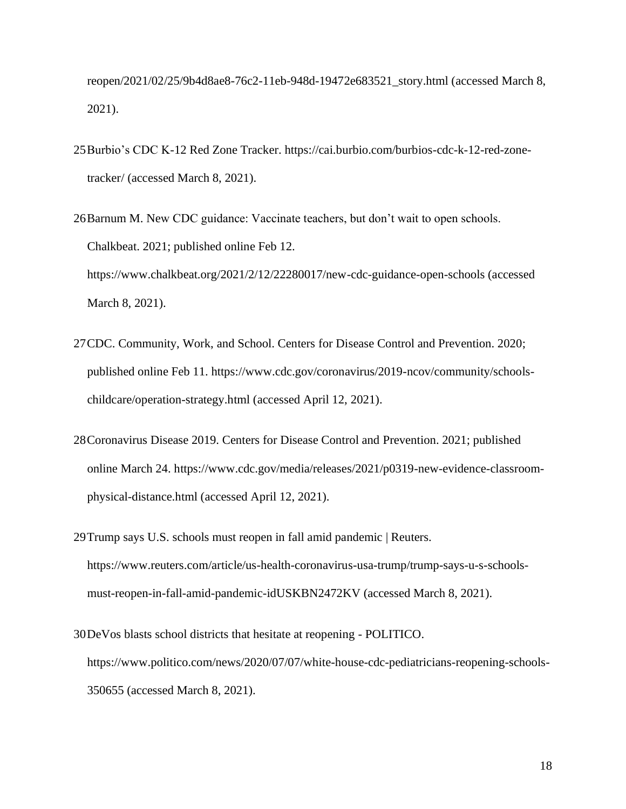reopen/2021/02/25/9b4d8ae8-76c2-11eb-948d-19472e683521\_story.html (accessed March 8, 2021).

- 25Burbio's CDC K-12 Red Zone Tracker. https://cai.burbio.com/burbios-cdc-k-12-red-zonetracker/ (accessed March 8, 2021).
- 26Barnum M. New CDC guidance: Vaccinate teachers, but don't wait to open schools. Chalkbeat. 2021; published online Feb 12. https://www.chalkbeat.org/2021/2/12/22280017/new-cdc-guidance-open-schools (accessed March 8, 2021).
- 27CDC. Community, Work, and School. Centers for Disease Control and Prevention. 2020; published online Feb 11. https://www.cdc.gov/coronavirus/2019-ncov/community/schoolschildcare/operation-strategy.html (accessed April 12, 2021).
- 28Coronavirus Disease 2019. Centers for Disease Control and Prevention. 2021; published online March 24. https://www.cdc.gov/media/releases/2021/p0319-new-evidence-classroomphysical-distance.html (accessed April 12, 2021).
- 29Trump says U.S. schools must reopen in fall amid pandemic | Reuters. https://www.reuters.com/article/us-health-coronavirus-usa-trump/trump-says-u-s-schoolsmust-reopen-in-fall-amid-pandemic-idUSKBN2472KV (accessed March 8, 2021).
- 30DeVos blasts school districts that hesitate at reopening POLITICO. https://www.politico.com/news/2020/07/07/white-house-cdc-pediatricians-reopening-schools-350655 (accessed March 8, 2021).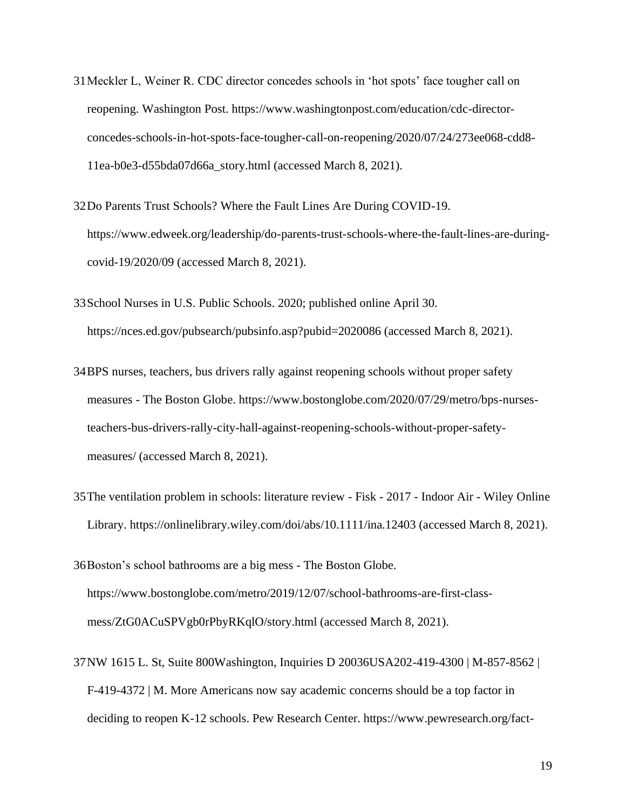- 31Meckler L, Weiner R. CDC director concedes schools in 'hot spots' face tougher call on reopening. Washington Post. https://www.washingtonpost.com/education/cdc-directorconcedes-schools-in-hot-spots-face-tougher-call-on-reopening/2020/07/24/273ee068-cdd8- 11ea-b0e3-d55bda07d66a\_story.html (accessed March 8, 2021).
- 32Do Parents Trust Schools? Where the Fault Lines Are During COVID-19. https://www.edweek.org/leadership/do-parents-trust-schools-where-the-fault-lines-are-duringcovid-19/2020/09 (accessed March 8, 2021).
- 33School Nurses in U.S. Public Schools. 2020; published online April 30. https://nces.ed.gov/pubsearch/pubsinfo.asp?pubid=2020086 (accessed March 8, 2021).
- 34BPS nurses, teachers, bus drivers rally against reopening schools without proper safety measures - The Boston Globe. https://www.bostonglobe.com/2020/07/29/metro/bps-nursesteachers-bus-drivers-rally-city-hall-against-reopening-schools-without-proper-safetymeasures/ (accessed March 8, 2021).
- 35The ventilation problem in schools: literature review Fisk 2017 Indoor Air Wiley Online Library. https://onlinelibrary.wiley.com/doi/abs/10.1111/ina.12403 (accessed March 8, 2021).
- 36Boston's school bathrooms are a big mess The Boston Globe. https://www.bostonglobe.com/metro/2019/12/07/school-bathrooms-are-first-classmess/ZtG0ACuSPVgb0rPbyRKqlO/story.html (accessed March 8, 2021).
- 37NW 1615 L. St, Suite 800Washington, Inquiries D 20036USA202-419-4300 | M-857-8562 | F-419-4372 | M. More Americans now say academic concerns should be a top factor in deciding to reopen K-12 schools. Pew Research Center. https://www.pewresearch.org/fact-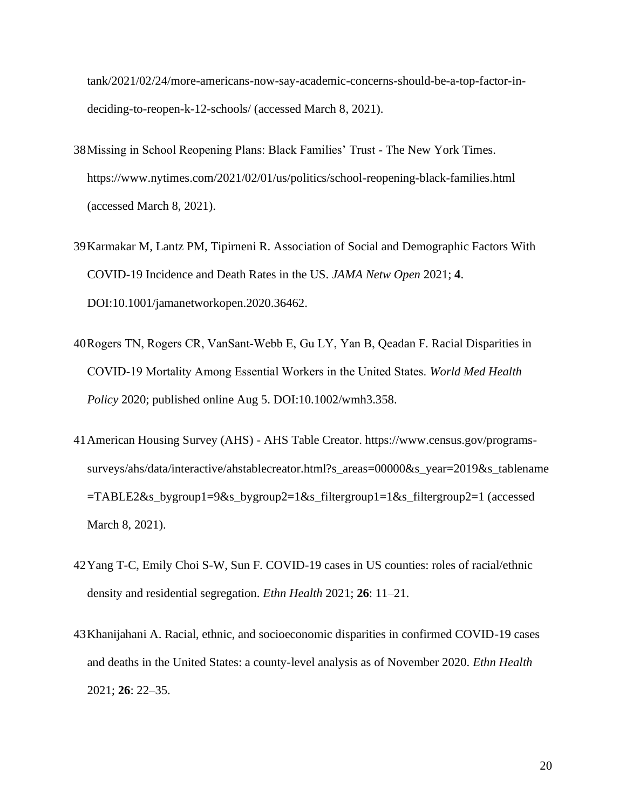tank/2021/02/24/more-americans-now-say-academic-concerns-should-be-a-top-factor-indeciding-to-reopen-k-12-schools/ (accessed March 8, 2021).

- 38Missing in School Reopening Plans: Black Families' Trust The New York Times. https://www.nytimes.com/2021/02/01/us/politics/school-reopening-black-families.html (accessed March 8, 2021).
- 39Karmakar M, Lantz PM, Tipirneni R. Association of Social and Demographic Factors With COVID-19 Incidence and Death Rates in the US. *JAMA Netw Open* 2021; **4**. DOI:10.1001/jamanetworkopen.2020.36462.
- 40Rogers TN, Rogers CR, VanSant‐Webb E, Gu LY, Yan B, Qeadan F. Racial Disparities in COVID‐19 Mortality Among Essential Workers in the United States. *World Med Health Policy* 2020; published online Aug 5. DOI:10.1002/wmh3.358.
- 41American Housing Survey (AHS) AHS Table Creator. https://www.census.gov/programssurveys/ahs/data/interactive/ahstablecreator.html?s\_areas=00000&s\_year=2019&s\_tablename =TABLE2&s\_bygroup1=9&s\_bygroup2=1&s\_filtergroup1=1&s\_filtergroup2=1 (accessed March 8, 2021).
- 42Yang T-C, Emily Choi S-W, Sun F. COVID-19 cases in US counties: roles of racial/ethnic density and residential segregation. *Ethn Health* 2021; **26**: 11–21.
- 43Khanijahani A. Racial, ethnic, and socioeconomic disparities in confirmed COVID-19 cases and deaths in the United States: a county-level analysis as of November 2020. *Ethn Health* 2021; **26**: 22–35.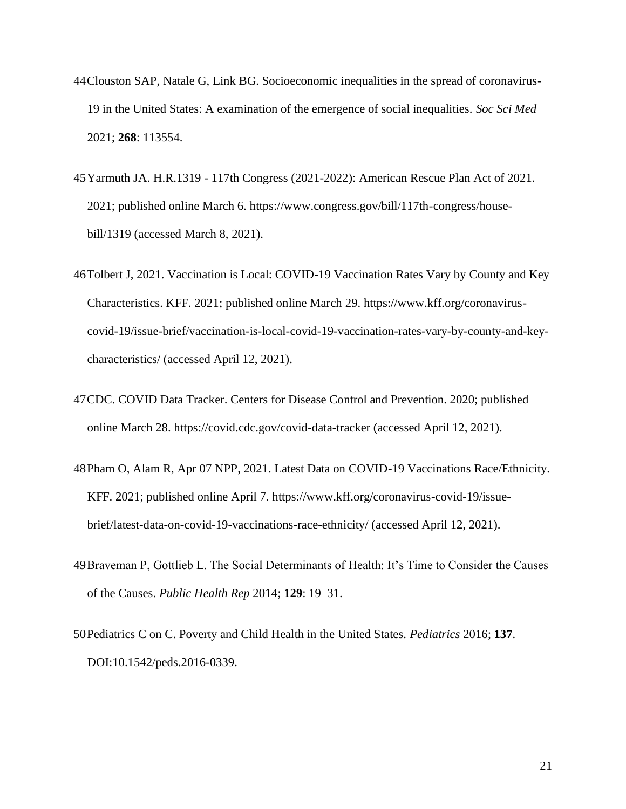- 44Clouston SAP, Natale G, Link BG. Socioeconomic inequalities in the spread of coronavirus-19 in the United States: A examination of the emergence of social inequalities. *Soc Sci Med* 2021; **268**: 113554.
- 45Yarmuth JA. H.R.1319 117th Congress (2021-2022): American Rescue Plan Act of 2021. 2021; published online March 6. https://www.congress.gov/bill/117th-congress/housebill/1319 (accessed March 8, 2021).
- 46Tolbert J, 2021. Vaccination is Local: COVID-19 Vaccination Rates Vary by County and Key Characteristics. KFF. 2021; published online March 29. https://www.kff.org/coronaviruscovid-19/issue-brief/vaccination-is-local-covid-19-vaccination-rates-vary-by-county-and-keycharacteristics/ (accessed April 12, 2021).
- 47CDC. COVID Data Tracker. Centers for Disease Control and Prevention. 2020; published online March 28. https://covid.cdc.gov/covid-data-tracker (accessed April 12, 2021).
- 48Pham O, Alam R, Apr 07 NPP, 2021. Latest Data on COVID-19 Vaccinations Race/Ethnicity. KFF. 2021; published online April 7. https://www.kff.org/coronavirus-covid-19/issuebrief/latest-data-on-covid-19-vaccinations-race-ethnicity/ (accessed April 12, 2021).
- 49Braveman P, Gottlieb L. The Social Determinants of Health: It's Time to Consider the Causes of the Causes. *Public Health Rep* 2014; **129**: 19–31.
- 50Pediatrics C on C. Poverty and Child Health in the United States. *Pediatrics* 2016; **137**. DOI:10.1542/peds.2016-0339.